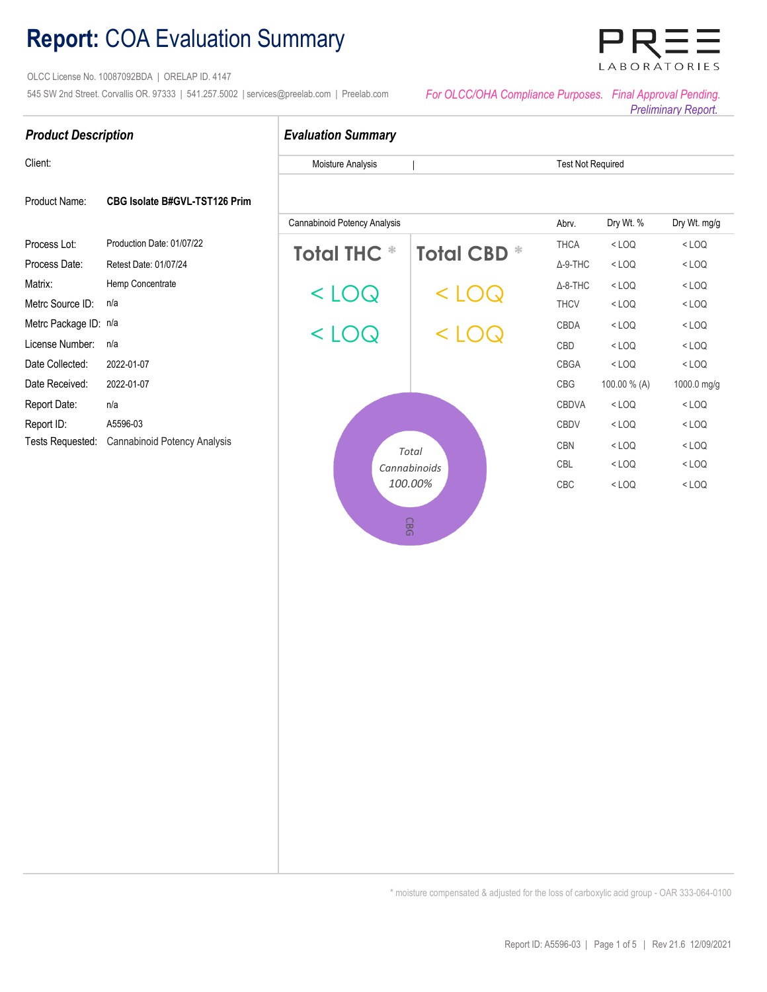# **Report:** COA Evaluation Summary

Tests Requested: Cannabinoid Potency Analysis

 OLCC License No. 10087092BDA | ORELAP ID. 4147 545 SW 2nd Street. Corvallis OR. 97333 | 541.257.5002 | services@preelab.com | Preelab.com *For OLCC/OHA Compliance Purposes. Final Approval Pending.* 

*Preliminary Report.* 

|                            |                               |                                     |                    |                          |           | <b>Pleillilliary Report.</b> |
|----------------------------|-------------------------------|-------------------------------------|--------------------|--------------------------|-----------|------------------------------|
| <b>Product Description</b> |                               | <b>Evaluation Summary</b>           |                    |                          |           |                              |
| Client:                    |                               | Moisture Analysis                   |                    | <b>Test Not Required</b> |           |                              |
| Product Name:              | CBG Isolate B#GVL-TST126 Prim |                                     |                    |                          |           |                              |
|                            |                               | <b>Cannabinoid Potency Analysis</b> |                    | Abrv.                    | Dry Wt. % | Dry Wt. mg/g                 |
| Process Lot:               | Production Date: 01/07/22     | <b>Total THC *</b>                  | <b>Total CBD *</b> | <b>THCA</b>              | $<$ LOQ   | $<$ LOQ                      |
| Process Date:              | Retest Date: 01/07/24         |                                     |                    | $\Delta$ -9-THC          | $<$ LOQ   | $<$ LOQ                      |
| Matrix:                    | Hemp Concentrate              |                                     | $<$ LOQ            | $\Delta$ -8-THC          | $<$ LOQ   | $<$ LOQ                      |
| Metrc Source ID:           | n/a                           | $<$ LOQ                             |                    | <b>THCV</b>              | $<$ LOQ   | $<$ LOQ                      |

**1** CBN CBN **1 Cannabinoids** Constantinoids CBL **100.00%** CBC

**CBG** 

Metrc Package ID: n/a and a compact of the compact of the compact of the compact of the compact of the compact of the compact of the compact of the compact of the compact of the compact of the compact of the compact of the License Number: n/a 1 CBD

 $<$  LOQ

Date Collected: 2022-01-07 2022-01-07 20:00 20:00 20:00 20:00 20:00 20:00 20:00 20:00 20:00 20:00 20:00 20:00 Date Received: 2022-01-07 1 CBG Report Date: n/a 1 CBDVA 1 CBDVA 1 CBDVA 1 CBDVA 1 CBDVA 1 CBDVA 1 CBDVA 1 CBDVA 1 CBDVA 1 CBDVA 1 CBDVA 1 CBDVA Report ID: A5596-03 1 CBDV

\* moisture compensated & adjusted for the loss of carboxylic acid group - OAR 333-064-0100



< LOQ < LOQ

< LOQ < LOQ

< LOQ

< LOQ < LOQ

< LOQ  $<$  LOO

Total CBN < LOQ < LOQ

100.00 % (A)

< LOQ < LOQ

< LOQ 1000.0 mg/g < LOQ < LOQ

 $<$  LOO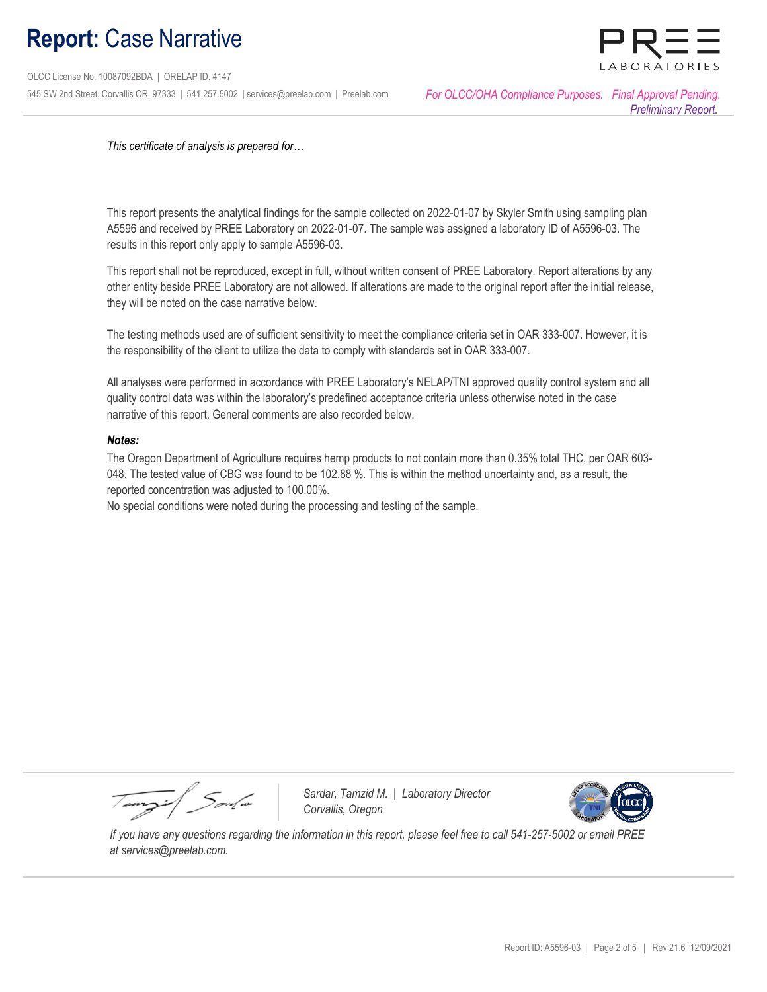## **Report:** Case Narrative

 OLCC License No. 10087092BDA | ORELAP ID. 4147 545 SW 2nd Street. Corvallis OR. 97333 | 541.257.5002 | services@preelab.com | Preelab.com *For OLCC/OHA Compliance Purposes. Final Approval Pending.* 

BORATORIE

*This certificate of analysis is prepared for…*

This report presents the analytical findings for the sample collected on 2022-01-07 by Skyler Smith using sampling plan A5596 and received by PREE Laboratory on 2022-01-07. The sample was assigned a laboratory ID of A5596-03. The results in this report only apply to sample A5596-03.

This report shall not be reproduced, except in full, without written consent of PREE Laboratory. Report alterations by any other entity beside PREE Laboratory are not allowed. If alterations are made to the original report after the initial release, they will be noted on the case narrative below.

The testing methods used are of sufficient sensitivity to meet the compliance criteria set in OAR 333-007. However, it is the responsibility of the client to utilize the data to comply with standards set in OAR 333-007.

All analyses were performed in accordance with PREE Laboratory's NELAP/TNI approved quality control system and all quality control data was within the laboratory's predefined acceptance criteria unless otherwise noted in the case narrative of this report. General comments are also recorded below.

### *Notes:*

The Oregon Department of Agriculture requires hemp products to not contain more than 0.35% total THC, per OAR 603- 048. The tested value of CBG was found to be 102.88 %. This is within the method uncertainty and, as a result, the reported concentration was adjusted to 100.00%.

No special conditions were noted during the processing and testing of the sample.

Tempir / Soula

 *Sardar, Tamzid M. | Laboratory Director Corvallis, Oregon* 



 *If you have any questions regarding the information in this report, please feel free to call 541-257-5002 or email PREE at services@preelab.com.*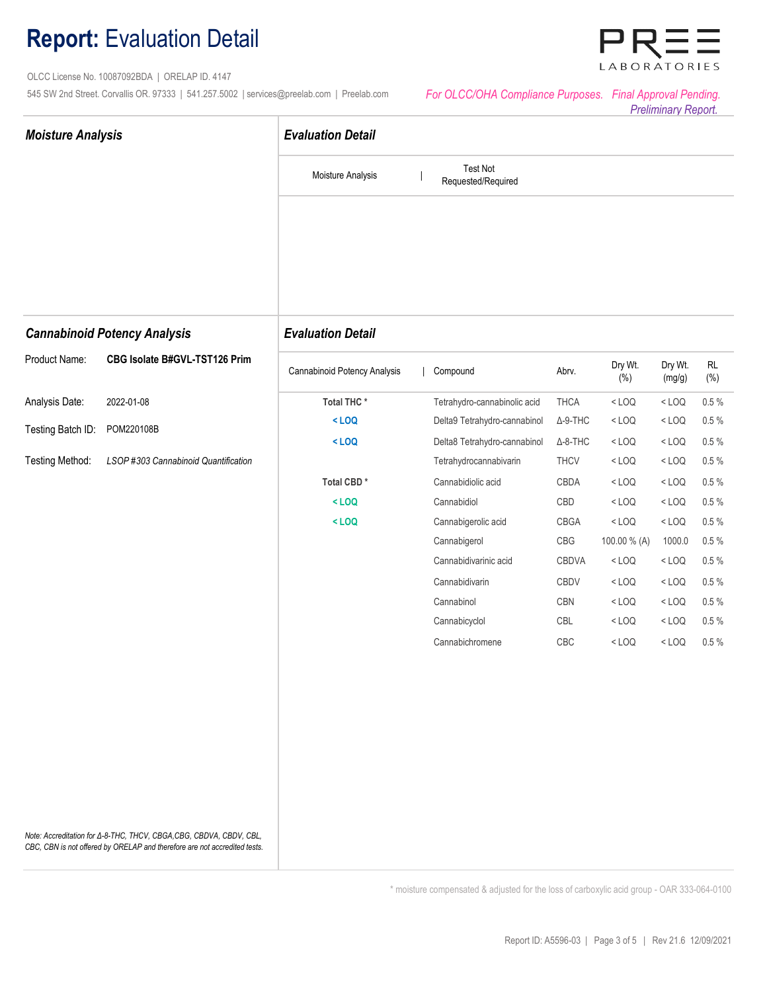### **Report:** Evaluation Detail

 OLCC License No. 10087092BDA | ORELAP ID. 4147 545 SW 2nd Street. Corvallis OR. 97333 | 541.257.5002 | services@preelab.com | Preelab.com

| For OLCC/OHA Compliance Purposes. Final Approval Pending. |                   |
|-----------------------------------------------------------|-------------------|
|                                                           | Drollmings Donart |

**ABORATORIES** 



\* moisture compensated & adjusted for the loss of carboxylic acid group - OAR 333-064-0100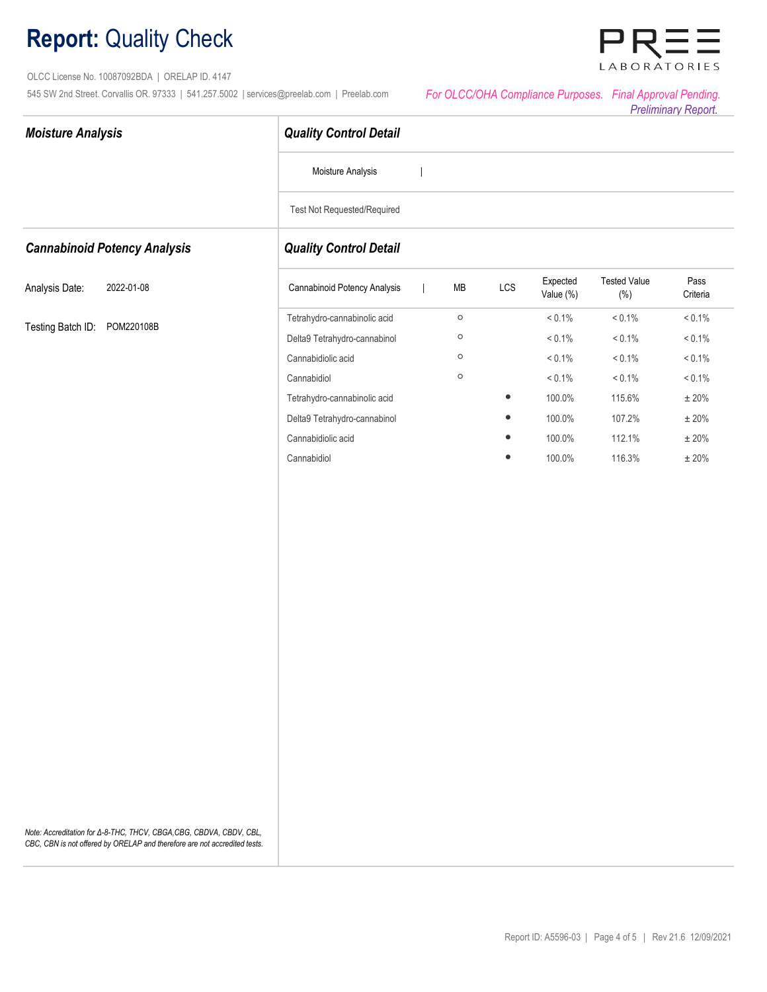# **Report:** Quality Check

*Moisture Analysis*

 OLCC License No. 10087092BDA | ORELAP ID. 4147 545 SW 2nd Street. Corvallis OR. 97333 | 541.257.5002 | services@preelab.com | Preelab.com

| For OLCC/OHA Compliance Purposes. Final Approval Pending. |                            |
|-----------------------------------------------------------|----------------------------|
|                                                           | <b>Preliminary Report.</b> |

LABORATORIES

|                                     | Moisture Analysis             |            |              |                       |                                |                  |
|-------------------------------------|-------------------------------|------------|--------------|-----------------------|--------------------------------|------------------|
|                                     | Test Not Requested/Required   |            |              |                       |                                |                  |
| <b>Cannabinoid Potency Analysis</b> | <b>Quality Control Detail</b> |            |              |                       |                                |                  |
| Analysis Date:<br>2022-01-08        | Cannabinoid Potency Analysis  | ${\sf MB}$ | $_{\rm LCS}$ | Expected<br>Value (%) | <b>Tested Value</b><br>$(\% )$ | Pass<br>Criteria |
|                                     | Tetrahydro-cannabinolic acid  | $\circ$    |              | $< 0.1\%$             | $< 0.1\%$                      | $< 0.1\%$        |
| Testing Batch ID: POM220108B        | Delta9 Tetrahydro-cannabinol  | $\circ$    |              | $< 0.1\%$             | $< 0.1\%$                      | $< 0.1\%$        |
|                                     | Cannabidiolic acid            | $\circ$    |              | $< 0.1\%$             | $< 0.1\%$                      | $< 0.1\%$        |
|                                     | Cannabidiol                   | $\circ$    |              | $< 0.1\%$             | $< 0.1\%$                      | $< 0.1\%$        |
|                                     | Tetrahydro-cannabinolic acid  |            | $\bullet$    | 100.0%                | 115.6%                         | $\pm$ 20%        |
|                                     | Delta9 Tetrahydro-cannabinol  |            | $\bullet$    | 100.0%                | 107.2%                         | $\pm$ 20%        |
|                                     | Cannabidiolic acid            |            | $\bullet$    | 100.0%                | 112.1%                         | $\pm\,20\%$      |
|                                     | Cannabidiol                   |            | $\bullet$    | 100.0%                | 116.3%                         | $\pm\,20\%$      |
|                                     |                               |            |              |                       |                                |                  |
|                                     |                               |            |              |                       |                                |                  |

 *Quality Control Detail*

*Note: Accreditation for Δ-8-THC, THCV, CBGA,CBG, CBDVA, CBDV, CBL, CBC, CBN is not offered by ORELAP and therefore are not accredited tests.*